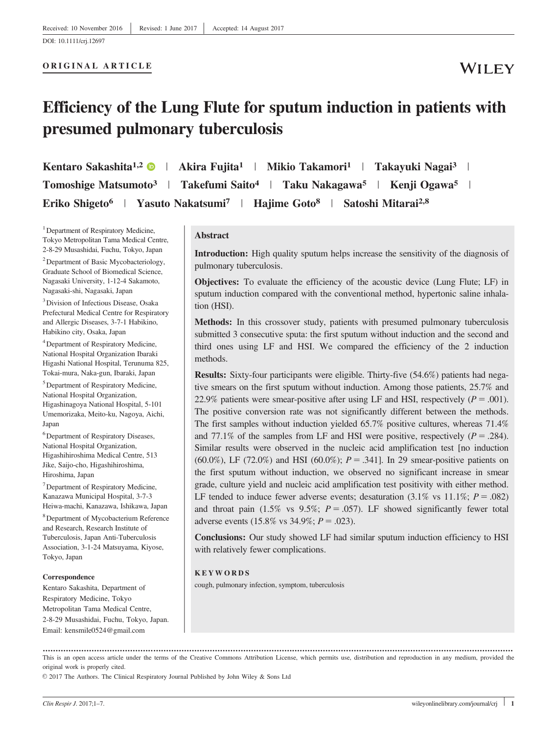#### ORIGINAL ARTICLE

### WILEY

## Efficiency of the Lung Flute for sputum induction in patients with presumed pulmonary tuberculosis

Kentaro Sakashita<sup>1,2</sup>  $\bullet$  | Akira Fujita<sup>1</sup> | Mikio Takamori<sup>1</sup> | Takayuki Nagai<sup>3</sup> | Tomoshige Matsumoto<sup>3</sup> | Takefumi Saito<sup>4</sup> | Taku Nakagawa<sup>5</sup> | Kenji Ogawa<sup>5</sup> | Eriko Shigeto<sup>6</sup> | Yasuto Nakatsumi<sup>7</sup> | Hajime Goto<sup>8</sup> | Satoshi Mitarai<sup>2,8</sup>

<sup>1</sup> Department of Respiratory Medicine, Tokyo Metropolitan Tama Medical Centre, 2-8-29 Musashidai, Fuchu, Tokyo, Japan <sup>2</sup> Department of Basic Mycobacteriology,

Graduate School of Biomedical Science, Nagasaki University, 1-12-4 Sakamoto, Nagasaki-shi, Nagasaki, Japan

3 Division of Infectious Disease, Osaka Prefectural Medical Centre for Respiratory and Allergic Diseases, 3-7-1 Habikino, Habikino city, Osaka, Japan

4 Department of Respiratory Medicine, National Hospital Organization Ibaraki Higashi National Hospital, Terunuma 825, Tokai-mura, Naka-gun, Ibaraki, Japan

<sup>5</sup> Department of Respiratory Medicine, National Hospital Organization, Higashinagoya National Hospital, 5-101 Umemorizaka, Meito-ku, Nagoya, Aichi, Japan

<sup>6</sup> Department of Respiratory Diseases, National Hospital Organization, Higashihiroshima Medical Centre, 513 Jike, Saijo-cho, Higashihiroshima, Hiroshima, Japan

<sup>7</sup> Department of Respiratory Medicine, Kanazawa Municipal Hospital, 3-7-3 Heiwa-machi, Kanazawa, Ishikawa, Japan

8 Department of Mycobacterium Reference and Research, Research Institute of Tuberculosis, Japan Anti-Tuberculosis Association, 3-1-24 Matsuyama, Kiyose, Tokyo, Japan

#### Correspondence

Kentaro Sakashita, Department of Respiratory Medicine, Tokyo Metropolitan Tama Medical Centre, 2-8-29 Musashidai, Fuchu, Tokyo, Japan. Email: kensmile0524@gmail.com

#### Abstract

Introduction: High quality sputum helps increase the sensitivity of the diagnosis of pulmonary tuberculosis.

Objectives: To evaluate the efficiency of the acoustic device (Lung Flute; LF) in sputum induction compared with the conventional method, hypertonic saline inhalation (HSI).

Methods: In this crossover study, patients with presumed pulmonary tuberculosis submitted 3 consecutive sputa: the first sputum without induction and the second and third ones using LF and HSI. We compared the efficiency of the 2 induction methods.

Results: Sixty-four participants were eligible. Thirty-five (54.6%) patients had negative smears on the first sputum without induction. Among those patients, 25.7% and 22.9% patients were smear-positive after using LF and HSI, respectively  $(P = .001)$ . The positive conversion rate was not significantly different between the methods. The first samples without induction yielded 65.7% positive cultures, whereas 71.4% and 77.1% of the samples from LF and HSI were positive, respectively  $(P = .284)$ . Similar results were observed in the nucleic acid amplification test [no induction (60.0%), LF (72.0%) and HSI (60.0%);  $P = .341$ ]. In 29 smear-positive patients on the first sputum without induction, we observed no significant increase in smear grade, culture yield and nucleic acid amplification test positivity with either method. LF tended to induce fewer adverse events; desaturation  $(3.1\% \text{ vs } 11.1\%; P = .082)$ and throat pain (1.5% vs 9.5%;  $P = .057$ ). LF showed significantly fewer total adverse events (15.8% vs 34.9%;  $P = .023$ ).

Conclusions: Our study showed LF had similar sputum induction efficiency to HSI with relatively fewer complications.

#### **KEYWORDS**

cough, pulmonary infection, symptom, tuberculosis

© 2017 The Authors. The Clinical Respiratory Journal Published by John Wiley & Sons Ltd

<sup>.......................................................................................................................................................................................</sup> This is an open access article under the terms of the [Creative Commons Attribution](http://creativecommons.org/licenses/by/4.0/) License, which permits use, distribution and reproduction in any medium, provided the original work is properly cited.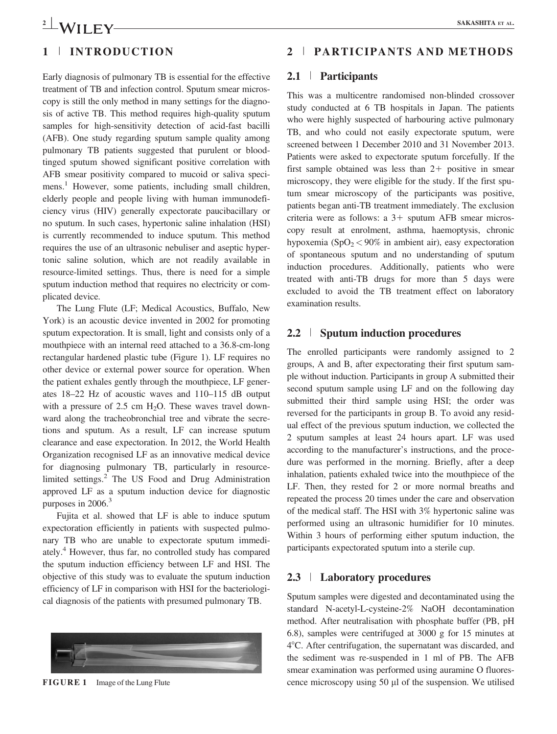# $\frac{2}{\sqrt{3}}$  SAKASHITA ET AL.

#### 1 <sup>|</sup> INTRODUCTION

Early diagnosis of pulmonary TB is essential for the effective treatment of TB and infection control. Sputum smear microscopy is still the only method in many settings for the diagnosis of active TB. This method requires high-quality sputum samples for high-sensitivity detection of acid-fast bacilli (AFB). One study regarding sputum sample quality among pulmonary TB patients suggested that purulent or bloodtinged sputum showed significant positive correlation with AFB smear positivity compared to mucoid or saliva specimens.<sup>1</sup> However, some patients, including small children, elderly people and people living with human immunodeficiency virus (HIV) generally expectorate paucibacillary or no sputum. In such cases, hypertonic saline inhalation (HSI) is currently recommended to induce sputum. This method requires the use of an ultrasonic nebuliser and aseptic hypertonic saline solution, which are not readily available in resource-limited settings. Thus, there is need for a simple sputum induction method that requires no electricity or complicated device.

The Lung Flute (LF; Medical Acoustics, Buffalo, New York) is an acoustic device invented in 2002 for promoting sputum expectoration. It is small, light and consists only of a mouthpiece with an internal reed attached to a 36.8-cm-long rectangular hardened plastic tube (Figure 1). LF requires no other device or external power source for operation. When the patient exhales gently through the mouthpiece, LF generates 18–22 Hz of acoustic waves and 110–115 dB output with a pressure of  $2.5$  cm  $H<sub>2</sub>O$ . These waves travel downward along the tracheobronchial tree and vibrate the secretions and sputum. As a result, LF can increase sputum clearance and ease expectoration. In 2012, the World Health Organization recognised LF as an innovative medical device for diagnosing pulmonary TB, particularly in resourcelimited settings.<sup>2</sup> The US Food and Drug Administration approved LF as a sputum induction device for diagnostic purposes in  $2006$ .<sup>3</sup>

Fujita et al. showed that LF is able to induce sputum expectoration efficiently in patients with suspected pulmonary TB who are unable to expectorate sputum immediately.4 However, thus far, no controlled study has compared the sputum induction efficiency between LF and HSI. The objective of this study was to evaluate the sputum induction efficiency of LF in comparison with HSI for the bacteriological diagnosis of the patients with presumed pulmonary TB.



#### 2 <sup>|</sup> PARTICIPANTS AND METHODS

#### 2.1 <sup>|</sup> Participants

This was a multicentre randomised non-blinded crossover study conducted at 6 TB hospitals in Japan. The patients who were highly suspected of harbouring active pulmonary TB, and who could not easily expectorate sputum, were screened between 1 December 2010 and 31 November 2013. Patients were asked to expectorate sputum forcefully. If the first sample obtained was less than  $2+$  positive in smear microscopy, they were eligible for the study. If the first sputum smear microscopy of the participants was positive, patients began anti-TB treatment immediately. The exclusion criteria were as follows:  $a$  3+ sputum AFB smear microscopy result at enrolment, asthma, haemoptysis, chronic hypoxemia (SpO<sub>2</sub> < 90% in ambient air), easy expectoration of spontaneous sputum and no understanding of sputum induction procedures. Additionally, patients who were treated with anti-TB drugs for more than 5 days were excluded to avoid the TB treatment effect on laboratory examination results.

#### 2.2 <sup>|</sup> Sputum induction procedures

The enrolled participants were randomly assigned to 2 groups, A and B, after expectorating their first sputum sample without induction. Participants in group A submitted their second sputum sample using LF and on the following day submitted their third sample using HSI; the order was reversed for the participants in group B. To avoid any residual effect of the previous sputum induction, we collected the 2 sputum samples at least 24 hours apart. LF was used according to the manufacturer's instructions, and the procedure was performed in the morning. Briefly, after a deep inhalation, patients exhaled twice into the mouthpiece of the LF. Then, they rested for 2 or more normal breaths and repeated the process 20 times under the care and observation of the medical staff. The HSI with 3% hypertonic saline was performed using an ultrasonic humidifier for 10 minutes. Within 3 hours of performing either sputum induction, the participants expectorated sputum into a sterile cup.

#### 2.3 <sup>|</sup> Laboratory procedures

Sputum samples were digested and decontaminated using the standard N-acetyl-L-cysteine-2% NaOH decontamination method. After neutralisation with phosphate buffer (PB, pH 6.8), samples were centrifuged at 3000 g for 15 minutes at 48C. After centrifugation, the supernatant was discarded, and the sediment was re-suspended in 1 ml of PB. The AFB smear examination was performed using auramine O fluores-FIGURE 1 Image of the Lung Flute cence microscopy using 50 µl of the suspension. We utilised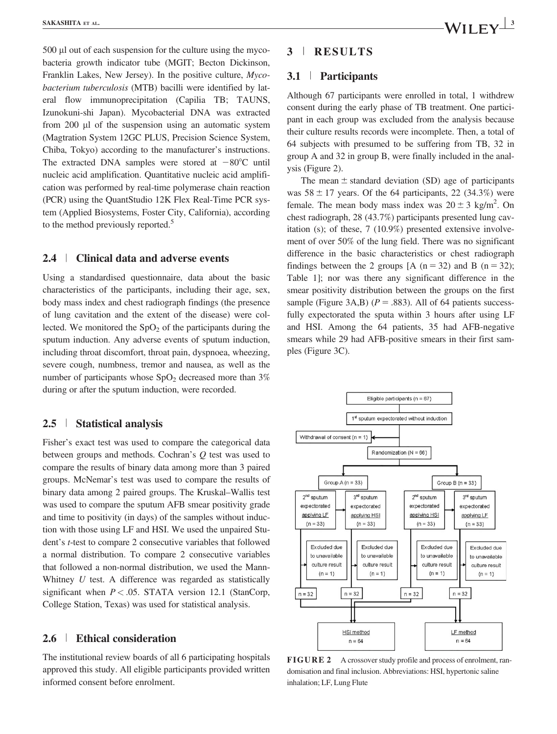$500 \mu l$  out of each suspension for the culture using the mycobacteria growth indicator tube (MGIT; Becton Dickinson, Franklin Lakes, New Jersey). In the positive culture, Mycobacterium tuberculosis (MTB) bacilli were identified by lateral flow immunoprecipitation (Capilia TB; TAUNS, Izunokuni-shi Japan). Mycobacterial DNA was extracted from 200 µl of the suspension using an automatic system (Magtration System 12GC PLUS, Precision Science System, Chiba, Tokyo) according to the manufacturer's instructions. The extracted DNA samples were stored at  $-80^{\circ}$ C until nucleic acid amplification. Quantitative nucleic acid amplification was performed by real-time polymerase chain reaction (PCR) using the QuantStudio 12K Flex Real-Time PCR system (Applied Biosystems, Foster City, California), according to the method previously reported.<sup>5</sup>

#### 2.4 Clinical data and adverse events

Using a standardised questionnaire, data about the basic characteristics of the participants, including their age, sex, body mass index and chest radiograph findings (the presence of lung cavitation and the extent of the disease) were collected. We monitored the  $SpO<sub>2</sub>$  of the participants during the sputum induction. Any adverse events of sputum induction, including throat discomfort, throat pain, dyspnoea, wheezing, severe cough, numbness, tremor and nausea, as well as the number of participants whose  $SpO<sub>2</sub>$  decreased more than 3% during or after the sputum induction, were recorded.

#### 2.5 <sup>|</sup> Statistical analysis

Fisher's exact test was used to compare the categorical data between groups and methods. Cochran's Q test was used to compare the results of binary data among more than 3 paired groups. McNemar's test was used to compare the results of binary data among 2 paired groups. The Kruskal–Wallis test was used to compare the sputum AFB smear positivity grade and time to positivity (in days) of the samples without induction with those using LF and HSI. We used the unpaired Student's t-test to compare 2 consecutive variables that followed a normal distribution. To compare 2 consecutive variables that followed a non-normal distribution, we used the Mann-Whitney  $U$  test. A difference was regarded as statistically significant when  $P < .05$ . STATA version 12.1 (StanCorp, College Station, Texas) was used for statistical analysis.

#### 2.6 <sup>|</sup> Ethical consideration

The institutional review boards of all 6 participating hospitals approved this study. All eligible participants provided written informed consent before enrolment.

#### 3 <sup>|</sup> RESULTS

#### 3.1 <sup>|</sup> Participants

Although 67 participants were enrolled in total, 1 withdrew consent during the early phase of TB treatment. One participant in each group was excluded from the analysis because their culture results records were incomplete. Then, a total of 64 subjects with presumed to be suffering from TB, 32 in group A and 32 in group B, were finally included in the analysis (Figure 2).

The mean  $\pm$  standard deviation (SD) age of participants was  $58 \pm 17$  years. Of the 64 participants, 22 (34.3%) were female. The mean body mass index was  $20 \pm 3$  kg/m<sup>2</sup>. On chest radiograph, 28 (43.7%) participants presented lung cavitation (s); of these, 7 (10.9%) presented extensive involvement of over 50% of the lung field. There was no significant difference in the basic characteristics or chest radiograph findings between the 2 groups [A  $(n = 32)$  and B  $(n = 32)$ ; Table 1]; nor was there any significant difference in the smear positivity distribution between the groups on the first sample (Figure 3A,B) ( $P = .883$ ). All of 64 patients successfully expectorated the sputa within 3 hours after using LF and HSI. Among the 64 patients, 35 had AFB-negative smears while 29 had AFB-positive smears in their first samples (Figure 3C).



FIGURE 2 A crossover study profile and process of enrolment, randomisation and final inclusion. Abbreviations: HSI, hypertonic saline inhalation; LF, Lung Flute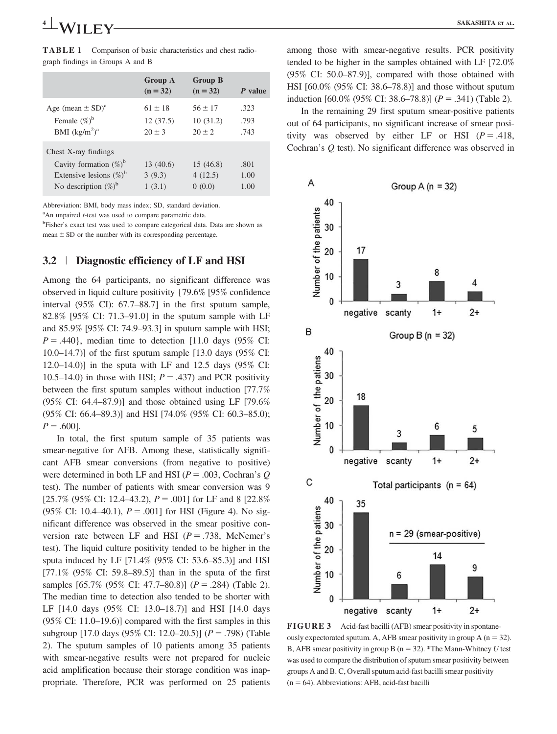TABLE 1 Comparison of basic characteristics and chest radiograph findings in Groups A and B

|                                                                                                            | <b>Group A</b><br>$(n = 32)$        | <b>Group B</b><br>$(n = 32)$      | P value              |
|------------------------------------------------------------------------------------------------------------|-------------------------------------|-----------------------------------|----------------------|
| Age (mean $\pm$ SD) <sup>a</sup><br>Female $(\%)^b$<br>BMI $(kg/m2)a$                                      | $61 + 18$<br>12(37.5)<br>$20 \pm 3$ | $56 + 17$<br>10(31.2)<br>$20 + 2$ | .323<br>.793<br>.743 |
| Chest X-ray findings<br>Cavity formation $(\%)^b$<br>Extensive lesions $(\%)^b$<br>No description $(\%)^b$ | 13 (40.6)<br>3(9.3)<br>1(3.1)       | 15(46.8)<br>4(12.5)<br>0(0.0)     | .801<br>1.00<br>1.00 |

Abbreviation: BMI, body mass index; SD, standard deviation.

<sup>a</sup>An unpaired t-test was used to compare parametric data.

<sup>b</sup>Fisher's exact test was used to compare categorical data. Data are shown as mean  $\pm$  SD or the number with its corresponding percentage.

#### 3.2 <sup>|</sup> Diagnostic efficiency of LF and HSI

Among the 64 participants, no significant difference was observed in liquid culture positivity {79.6% [95% confidence interval (95% CI): 67.7–88.7] in the first sputum sample, 82.8% [95% CI: 71.3–91.0] in the sputum sample with LF and 85.9% [95% CI: 74.9–93.3] in sputum sample with HSI;  $P = .440$ , median time to detection [11.0 days (95% CI: 10.0–14.7)] of the first sputum sample [13.0 days (95% CI: 12.0–14.0)] in the sputa with LF and 12.5 days (95% CI: 10.5–14.0) in those with HSI;  $P = .437$  and PCR positivity between the first sputum samples without induction [77.7% (95% CI: 64.4–87.9)] and those obtained using LF [79.6% (95% CI: 66.4–89.3)] and HSI [74.0% (95% CI: 60.3–85.0);  $P = .600$ ].

In total, the first sputum sample of 35 patients was smear-negative for AFB. Among these, statistically significant AFB smear conversions (from negative to positive) were determined in both LF and HSI ( $P = .003$ , Cochran's Q test). The number of patients with smear conversion was 9 [25.7% (95% CI: 12.4–43.2),  $P = .001$ ] for LF and 8 [22.8% (95% CI: 10.4–40.1),  $P = .001$ ] for HSI (Figure 4). No significant difference was observed in the smear positive conversion rate between LF and HSI ( $P = .738$ , McNemer's test). The liquid culture positivity tended to be higher in the sputa induced by LF [71.4% (95% CI: 53.6–85.3)] and HSI [77.1% (95% CI: 59.8–89.5)] than in the sputa of the first samples  $[65.7\% (95\% CI: 47.7–80.8)] (P = .284)$  (Table 2). The median time to detection also tended to be shorter with LF [14.0 days (95% CI: 13.0–18.7)] and HSI [14.0 days (95% CI: 11.0–19.6)] compared with the first samples in this subgroup [17.0 days (95% CI: 12.0–20.5)] ( $P = .798$ ) (Table 2). The sputum samples of 10 patients among 35 patients with smear-negative results were not prepared for nucleic acid amplification because their storage condition was inappropriate. Therefore, PCR was performed on 25 patients

among those with smear-negative results. PCR positivity tended to be higher in the samples obtained with LF [72.0% (95% CI: 50.0–87.9)], compared with those obtained with HSI [60.0% (95% CI: 38.6–78.8)] and those without sputum induction  $[60.0\% (95\% CI: 38.6–78.8)] (P = .341)$  (Table 2).

In the remaining 29 first sputum smear-positive patients out of 64 participants, no significant increase of smear positivity was observed by either LF or HSI  $(P = .418, )$ Cochran's Q test). No significant difference was observed in



FIGURE 3 Acid-fast bacilli (AFB) smear positivity in spontaneously expectorated sputum. A, AFB smear positivity in group A ( $n = 32$ ). B, AFB smear positivity in group B ( $n = 32$ ). \*The Mann-Whitney U test was used to compare the distribution of sputum smear positivity between groups A and B. C, Overall sputum acid-fast bacilli smear positivity  $(n = 64)$ . Abbreviations: AFB, acid-fast bacilli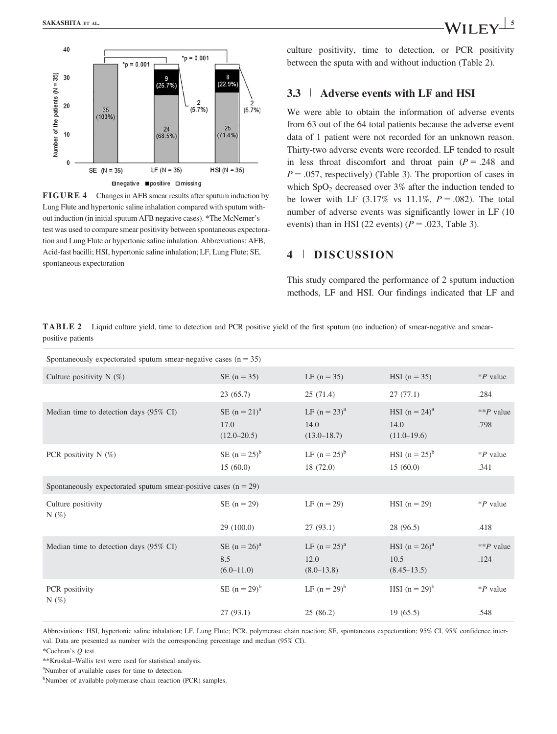

FIGURE 4 Changes in AFB smear results after sputum induction by Lung Flute and hypertonic saline inhalation compared with sputum without induction (in initial sputum AFB negative cases). \*The McNemer's test was used to compare smear positivity between spontaneous expectoration and Lung Flute or hypertonic saline inhalation. Abbreviations: AFB, Acid-fast bacilli; HSI, hypertonic saline inhalation; LF, Lung Flute; SE, spontaneous expectoration

culture positivity, time to detection, or PCR positivity between the sputa with and without induction (Table 2).

#### 3.3 <sup>|</sup> Adverse events with LF and HSI

We were able to obtain the information of adverse events from 63 out of the 64 total patients because the adverse event data of 1 patient were not recorded for an unknown reason. Thirty-two adverse events were recorded. LF tended to result in less throat discomfort and throat pain  $(P = .248)$  and  $P = .057$ , respectively) (Table 3). The proportion of cases in which  $SpO<sub>2</sub>$  decreased over 3% after the induction tended to be lower with LF  $(3.17\% \text{ vs } 11.1\%, P = .082)$ . The total number of adverse events was significantly lower in LF (10 events) than in HSI (22 events) ( $P = .023$ , Table 3).

#### 4 <sup>|</sup> DISCUSSION

This study compared the performance of 2 sputum induction methods, LF and HSI. Our findings indicated that LF and

**TABLE 2** Liquid culture yield, time to detection and PCR positive yield of the first sputum (no induction) of smear-negative and smearpositive patients

| Spontaneously expectorated sputum smear-negative cases $(n = 35)$ |                                              |                                              |                                             |                            |  |  |  |
|-------------------------------------------------------------------|----------------------------------------------|----------------------------------------------|---------------------------------------------|----------------------------|--|--|--|
| Culture positivity $N$ (%)                                        | SE $(n = 35)$                                | LF $(n = 35)$                                | HSI $(n = 35)$                              | $*P$ value                 |  |  |  |
|                                                                   | 23(65.7)                                     | 25(71.4)                                     | 27(77.1)                                    | .284                       |  |  |  |
| Median time to detection days (95% CI)                            | SE $(n = 21)^{a}$<br>17.0<br>$(12.0 - 20.5)$ | LF $(n = 23)^{a}$<br>14.0<br>$(13.0 - 18.7)$ | HSI $(n = 24)^{a}$<br>14.0<br>$(11.0-19.6)$ | ** $P$ value<br>.798       |  |  |  |
| PCR positivity $N(\%)$                                            | SE $(n = 25)^{b}$<br>15(60.0)                | LF $(n = 25)^{b}$<br>18(72.0)                | HSI $(n = 25)^{b}$<br>15(60.0)              | $*P$ value<br>.341         |  |  |  |
| Spontaneously expectorated sputum smear-positive cases $(n = 29)$ |                                              |                                              |                                             |                            |  |  |  |
| Culture positivity<br>$N(\%)$                                     | $SE (n = 29)$                                | LF $(n = 29)$                                | HSI $(n = 29)$                              | $*P$ value                 |  |  |  |
|                                                                   | 29(100.0)                                    | 27(93.1)                                     | 28 (96.5)                                   | .418                       |  |  |  |
| Median time to detection days (95% CI)                            | SE $(n = 26)^a$<br>8.5<br>$(6.0 - 11.0)$     | LF $(n = 25)^{a}$<br>12.0<br>$(8.0-13.8)$    | HSI $(n = 26)^a$<br>10.5<br>$(8.45 - 13.5)$ | $*$ <i>P</i> value<br>.124 |  |  |  |
| PCR positivity<br>$N(\%)$                                         | SE $(n = 29)^{b}$                            | LF $(n = 29)^{b}$                            | <b>HSI</b> $(n = 29)^{b}$                   | $*P$ value                 |  |  |  |
|                                                                   | 27(93.1)                                     | 25(86.2)                                     | 19(65.5)                                    | .548                       |  |  |  |

Abbreviations: HSI, hypertonic saline inhalation; LF, Lung Flute; PCR, polymerase chain reaction; SE, spontaneous expectoration; 95% CI, 95% confidence interval. Data are presented as number with the corresponding percentage and median (95% CI).

\*Cochran's Q test.

\*\*Kruskal–Wallis test were used for statistical analysis.

a Number of available cases for time to detection.

<sup>b</sup>Number of available polymerase chain reaction (PCR) samples.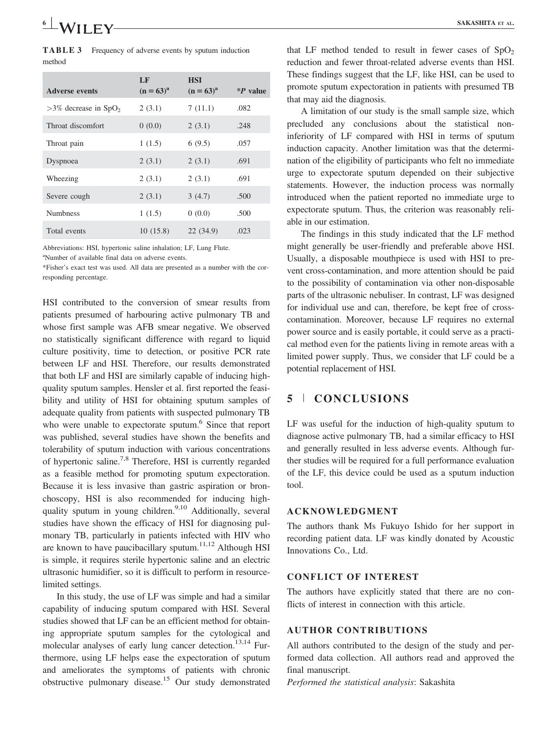TABLE 3 Frequency of adverse events by sputum induction method

| <b>Adverse events</b>               | LF<br>$(n = 63)^{a}$ | <b>HSI</b><br>$(n = 63)^{a}$ | $\ast P$ value |
|-------------------------------------|----------------------|------------------------------|----------------|
| $>3\%$ decrease in SpO <sub>2</sub> | 2(3.1)               | 7(11.1)                      | .082           |
| Throat discomfort                   | 0(0.0)               | 2(3.1)                       | .248           |
| Throat pain                         | 1(1.5)               | 6(9.5)                       | .057           |
| Dyspnoea                            | 2(3.1)               | 2(3.1)                       | .691           |
| Wheezing                            | 2(3.1)               | 2(3.1)                       | .691           |
| Severe cough                        | 2(3.1)               | 3(4.7)                       | .500           |
| <b>Numbness</b>                     | 1(1.5)               | 0(0.0)                       | .500           |
| Total events                        | 10(15.8)             | 22(34.9)                     | .023           |

Abbreviations: HSI, hypertonic saline inhalation; LF, Lung Flute.

<sup>a</sup>Number of available final data on adverse events.

\*Fisher's exact test was used. All data are presented as a number with the corresponding percentage.

HSI contributed to the conversion of smear results from patients presumed of harbouring active pulmonary TB and whose first sample was AFB smear negative. We observed no statistically significant difference with regard to liquid culture positivity, time to detection, or positive PCR rate between LF and HSI. Therefore, our results demonstrated that both LF and HSI are similarly capable of inducing highquality sputum samples. Hensler et al. first reported the feasibility and utility of HSI for obtaining sputum samples of adequate quality from patients with suspected pulmonary TB who were unable to expectorate sputum.<sup>6</sup> Since that report was published, several studies have shown the benefits and tolerability of sputum induction with various concentrations of hypertonic saline.<sup>7,8</sup> Therefore, HSI is currently regarded as a feasible method for promoting sputum expectoration. Because it is less invasive than gastric aspiration or bronchoscopy, HSI is also recommended for inducing highquality sputum in young children.<sup>9,10</sup> Additionally, several studies have shown the efficacy of HSI for diagnosing pulmonary TB, particularly in patients infected with HIV who are known to have paucibacillary sputum.<sup>11,12</sup> Although HSI is simple, it requires sterile hypertonic saline and an electric ultrasonic humidifier, so it is difficult to perform in resourcelimited settings.

In this study, the use of LF was simple and had a similar capability of inducing sputum compared with HSI. Several studies showed that LF can be an efficient method for obtaining appropriate sputum samples for the cytological and molecular analyses of early lung cancer detection.<sup>13,14</sup> Furthermore, using LF helps ease the expectoration of sputum and ameliorates the symptoms of patients with chronic obstructive pulmonary disease.<sup>15</sup> Our study demonstrated

that LF method tended to result in fewer cases of  $SpO<sub>2</sub>$ reduction and fewer throat-related adverse events than HSI. These findings suggest that the LF, like HSI, can be used to promote sputum expectoration in patients with presumed TB that may aid the diagnosis.

A limitation of our study is the small sample size, which precluded any conclusions about the statistical noninferiority of LF compared with HSI in terms of sputum induction capacity. Another limitation was that the determination of the eligibility of participants who felt no immediate urge to expectorate sputum depended on their subjective statements. However, the induction process was normally introduced when the patient reported no immediate urge to expectorate sputum. Thus, the criterion was reasonably reliable in our estimation.

The findings in this study indicated that the LF method might generally be user-friendly and preferable above HSI. Usually, a disposable mouthpiece is used with HSI to prevent cross-contamination, and more attention should be paid to the possibility of contamination via other non-disposable parts of the ultrasonic nebuliser. In contrast, LF was designed for individual use and can, therefore, be kept free of crosscontamination. Moreover, because LF requires no external power source and is easily portable, it could serve as a practical method even for the patients living in remote areas with a limited power supply. Thus, we consider that LF could be a potential replacement of HSI.

#### 5 <sup>|</sup> CONCLUSIONS

LF was useful for the induction of high-quality sputum to diagnose active pulmonary TB, had a similar efficacy to HSI and generally resulted in less adverse events. Although further studies will be required for a full performance evaluation of the LF, this device could be used as a sputum induction tool.

#### ACKNOWLEDGMENT

The authors thank Ms Fukuyo Ishido for her support in recording patient data. LF was kindly donated by Acoustic Innovations Co., Ltd.

#### CONFLICT OF INTEREST

The authors have explicitly stated that there are no conflicts of interest in connection with this article.

#### AUTHOR CONTRIBUTIONS

All authors contributed to the design of the study and performed data collection. All authors read and approved the final manuscript.

Performed the statistical analysis: Sakashita